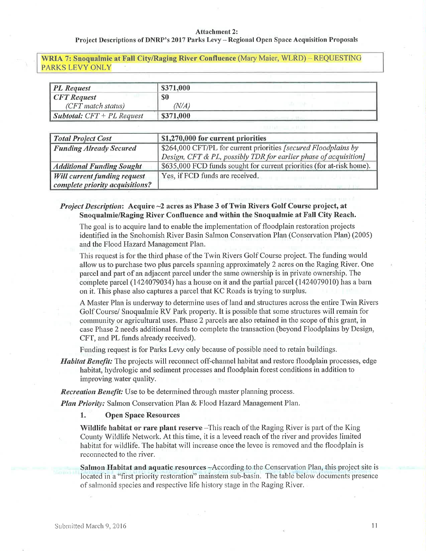### Attachment 2:

## Project Descriptions of DNRP's 2017 Parks Levy - Regional Open Space Acquisition Proposals

WRIA 7: Snoqualmie at Fall City/Raging River Confluence (Mary Maier, WLRD) - REQUESTING PARKS LEVY ONLY

| <b>PL</b> Request                   | \$371,000  |  |
|-------------------------------------|------------|--|
| $CFT$ Request                       | \$0        |  |
| $(CFT \, match \, status)$          | $N\!/\!A)$ |  |
| <b>Subtotal:</b> $CFT + PL$ Request | \$371,000  |  |

| <b>Total Project Cost</b>           | \$1,270,000 for current priorities                                    |  |
|-------------------------------------|-----------------------------------------------------------------------|--|
| <b>Funding Already Secured</b>      | \$264,000 CFT/PL for current priorities [secured Floodplains by       |  |
|                                     | Design, CFT & PL, possibly TDR for earlier phase of acquisition]      |  |
| <b>Additional Funding Sought</b>    | \$635,000 FCD funds sought for current priorities (for at-risk home). |  |
| <b>Will current funding request</b> | Yes, if FCD funds are received.                                       |  |
| complete priority acquisitions?     |                                                                       |  |

# *Project Description:* Acquire  $\sim$ 2 acres as Phase 3 of Twin Rivers Golf Course project, at SnoqualmielRaging River Confluence and within the Snoqualmie at Fall City Reach.

The goal is to acquire land to enable the implementation of floodplain restoration projects identified in the Snohomish River Basin Salmon Conservation Plan (Conservation Plan) (2005) and the Flood Hazard Management Plan.

This request is for the third phase of the Twin Rivers Golf Course project. The funding would allow us to purchase two plus parcels spanning approximately 2 acres on the Raging River. One parcel and part of an adjacent parcel under the same ownership is in private ownership. The complete parcel (1424079034) has a house on it and the partial parcel (1424079010) has a barn on it. This phase also captures a parcel that KC Roads is trying to surplus.

A Master Plan is underway to determine uses of land and structures across the entire Twin Rivers Golf Course/ Snoqualmie RV Park property. It is possible that some structures will remain for community or agricultural uses. Phase 2 parcels are also retained in the scope of this grant, in case Phase 2 needs additional funds to complete the transaction (beyond Floodplains by Design, CFT, and PL funds already received).

Funding request is for Parks Levy only because of possible need to retain buildings.

**Habitat Benefit:** The projects will reconnect off-channel habitat and restore floodplain processes, edge habitat, þdrologic and sediment processes and floodplain forest conditions in addition to improving water quality.

Recreation Benefit: Use to be determined through master planning process.

Plan Priority: Salmon Conservation Plan & Flood Hazard Management Plan.

1. Open Space Resources

**Wildlife habitat or rare plant reserve**  $-T$ his reach of the Raging River is part of the King County Wildlife Network. At this time, it is a leveed reach of the river and provides limited habitat for wildlife. The habitat will increase once the levee is removed and the floodplain is reconnected to the river.

Salmon Habitat and aquatic resources -According to the Conservation Plan, this project site is located in a "first priority restoration" mainstem sub-basin. The table below documents presence of salmonid species and respective life history stage in the Raging River.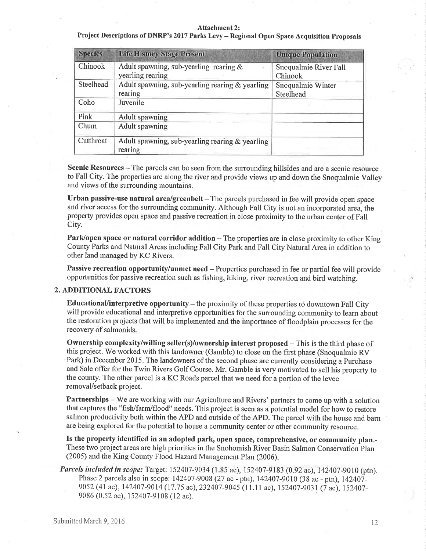#### Attachment 2:

Project Descriptions of DNRP's 2017 Parks Levy - Regional Open Space Acquisition Proposals

| <b>Species</b> | <b>Life History Stage Present</b>                          | <b>Unique Population</b> |
|----------------|------------------------------------------------------------|--------------------------|
| Chinook        | Adult spawning, sub-yearling rearing $\&$                  | Snoqualmie River Fall    |
|                | yearling rearing                                           | Chinook                  |
| Steelhead      | Adult spawning, sub-yearling rearing & yearling            | Snoqualmie Winter        |
|                | rearing                                                    | Steelhead                |
| Coho           | Juvenile                                                   |                          |
| Pink           | <b>Adult spawning</b>                                      |                          |
| Chum           | <b>Adult spawning</b>                                      |                          |
| Cutthroat      | Adult spawning, sub-yearling rearing & yearling<br>rearing |                          |

Scenic Resources – The parcels can be seen from the surrounding hillsides and are a scenic resource to Fall City. The properties are along the river and provide views up and down the Snoqualmie Valley and views of the surrounding mountains.

Urban passive-use natural area/greenbelt  $-$  The parcels purchased in fee will provide open space and river access for the surrounding community. Although Fall City is not an incorporated area, the property provides open space and passive recreation in close proximity to the urban center of Fall City.

Park/open space or natural corridor addition - The properties are in close proximity to other King County Parks and Natural Areas including Fall City Park and Fall City Natural Area in addition to other land managed by KC Rivers.

Passive recreation opportunity/unmet need - Properties purchased in fee or partial fee will provide opportunities for passive recreation such as fishing, hiking, river recreation and bird watching.

## 2. ADDITIONAL FACTORS

**Educational/interpretive opportunity**  $-$  the proximity of these properties to downtown Fall City will provide educational and interpretive opportunities for the surrounding community to learn about the restoration projects that will be implemented and the importance of floodplain processes for the recovery of salmonids.

Ownership complexity/willing seller(s)/ownership interest proposed – This is the third phase of this project. We worked with this landowner (Garnble) to close on the first phase (Snoquahnie RV Park) in December 2015. The landowners of the second phase are currently considering a Purchase and Sale offer for the Twin Rivers Golf Course. Mr. Gamble is very rnotivated to sell his property to the county. The other parcel is a KC Roads parcel that we need for a portion of the levee removal/setback project.

Partnerships - We are working with our Agriculture and Rivers' partners to come up with a solution that captures the "fish/farm/flood" needs. This project is seen as a potential rnodel for how to restore salmon productivity both within the APD and outside of the APD. The parcel with the house and bam are being explored for the potential to house a community center or other community resource.

Is the property identified in an adopted park, open space, comprehensive, or community plan.- These two project areas are high priorities in the Snohomish River Basin Salmon Conservation Plan (2005) and the King County Flood Hazard Management Plan (2006).

Parcels included in scope: Target: 152407-9034 (1.85 ac), 152407-9183 (0.92 ac), 142407-9010 (ptn). Plrase 2 parcels also in scope: 142407-9008 (27 ac - ptn), 142407-9010 (38 ac - ptn), 142407- 9052 (41 ac), 142407-9014 (17.75 ac), 232407-9045 (11.11 ac), 152407-9031 (7 ac), 152407-9086 (0.52 ac),152407-9108 (12 ac).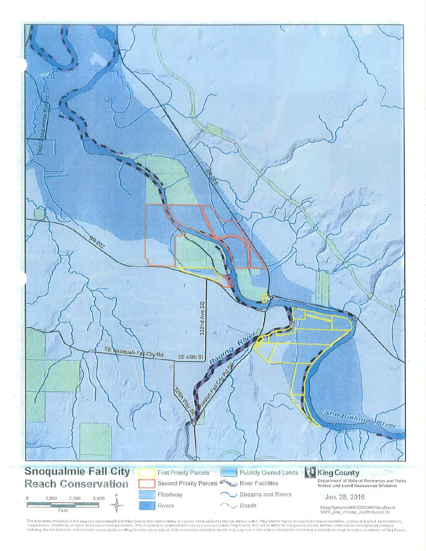

The information included on this map has been compled by King County station a variety of courses and is subject to change without notics. Ring County makes no oppressions or warranties, express or implied, as to accuracy,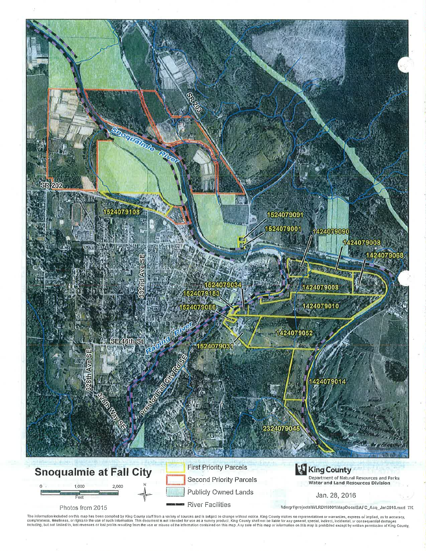

The information included on this map has been compiled by King County slaff from a variety of sources and is subject to change wilhout notice. King County makes no representations or warranties, express or implied, as to a